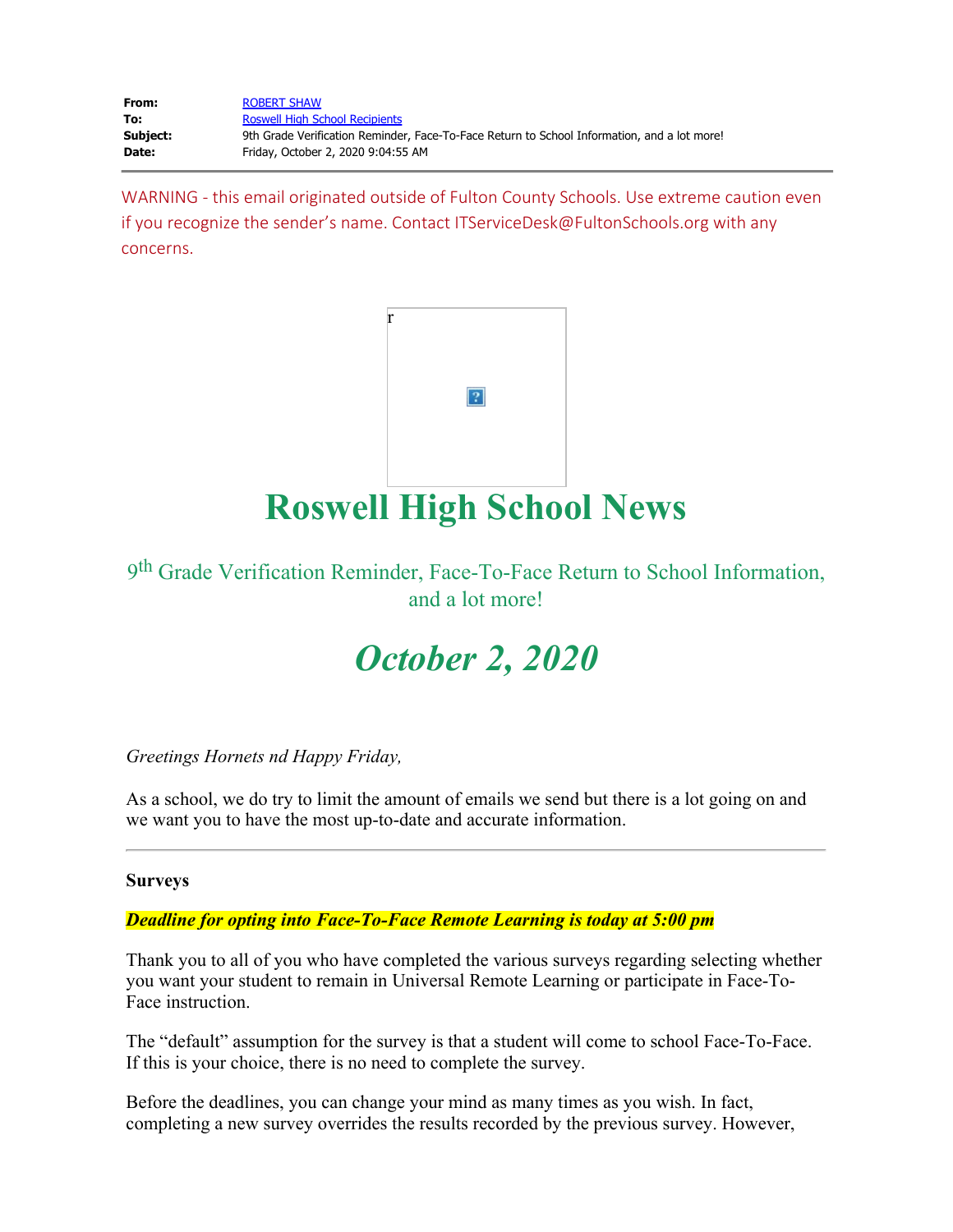| From:    | <b>ROBERT SHAW</b>                                                                          |
|----------|---------------------------------------------------------------------------------------------|
| To:      | <b>Roswell High School Recipients</b>                                                       |
| Subject: | 9th Grade Verification Reminder, Face-To-Face Return to School Information, and a lot more! |
| Date:    | Friday, October 2, 2020 9:04:55 AM                                                          |

WARNING - this email originated outside of Fulton County Schools. Use extreme caution even if you recognize the sender's name. Contact ITServiceDesk@FultonSchools.org with any concerns.



## **Roswell High School News**

9th Grade Verification Reminder, Face-To-Face Return to School Information, and a lot more!

# *October 2, 2020*

*Greetings Hornets nd Happy Friday,* 

As a school, we do try to limit the amount of emails we send but there is a lot going on and we want you to have the most up-to-date and accurate information.

### **Surveys**

*Deadline for opting into Face-To-Face Remote Learning is today at 5:00 pm*

Thank you to all of you who have completed the various surveys regarding selecting whether you want your student to remain in Universal Remote Learning or participate in Face-To-Face instruction.

The "default" assumption for the survey is that a student will come to school Face-To-Face. If this is your choice, there is no need to complete the survey.

Before the deadlines, you can change your mind as many times as you wish. In fact, completing a new survey overrides the results recorded by the previous survey. However,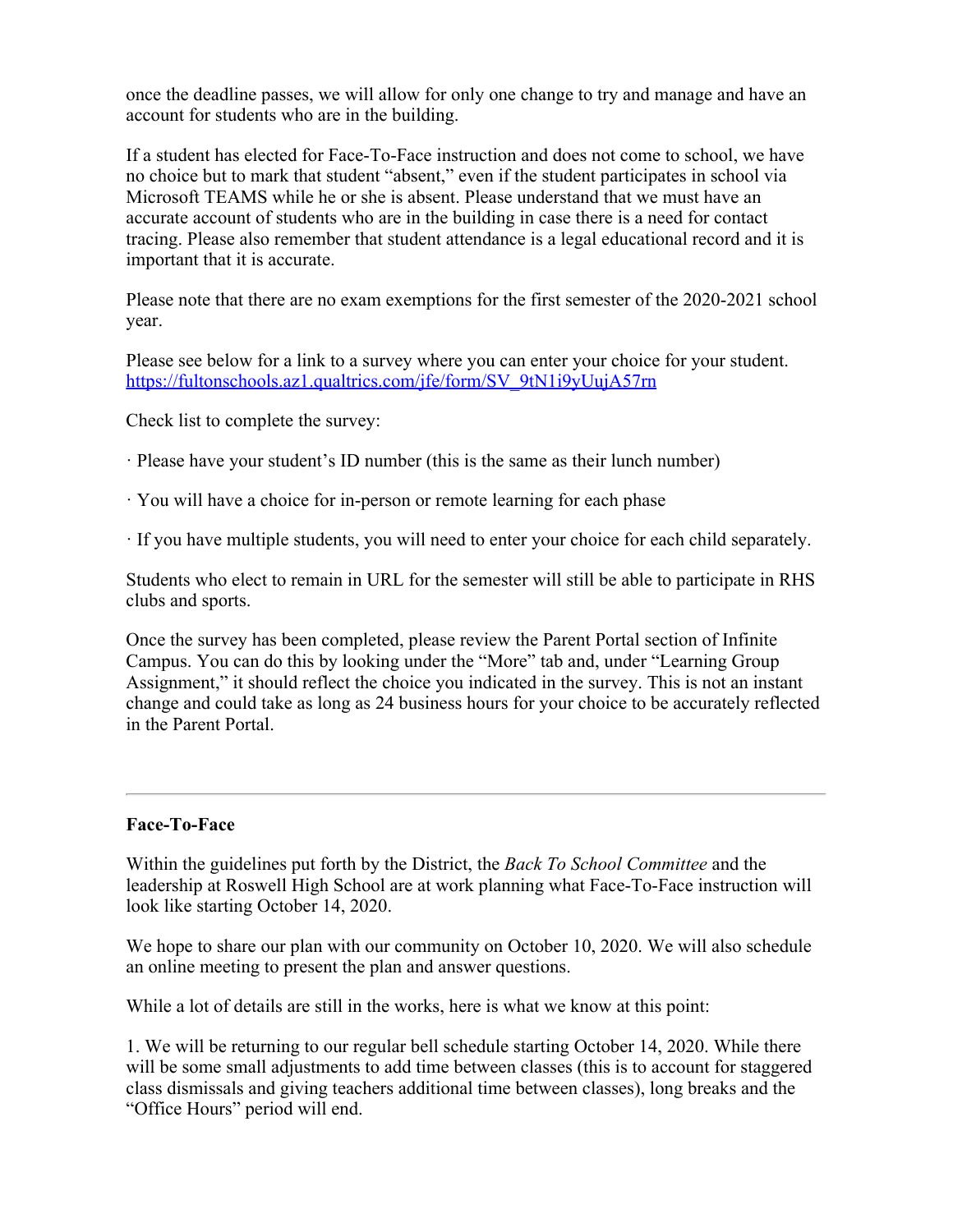once the deadline passes, we will allow for only one change to try and manage and have an account for students who are in the building.

If a student has elected for Face-To-Face instruction and does not come to school, we have no choice but to mark that student "absent," even if the student participates in school via Microsoft TEAMS while he or she is absent. Please understand that we must have an accurate account of students who are in the building in case there is a need for contact tracing. Please also remember that student attendance is a legal educational record and it is important that it is accurate.

Please note that there are no exam exemptions for the first semester of the 2020-2021 school year.

Please see below for a link to a survey where you can enter your choice for your student. [https://fultonschools.az1.qualtrics.com/jfe/form/SV\\_9tN1i9yUujA57rn](https://nam03.safelinks.protection.outlook.com/?url=https%3A%2F%2Ffultonschools.az1.qualtrics.com%2Fjfe%2Fform%2FSV_9tN1i9yUujA57rn&data=02%7C01%7Cmurphys%40fultonschools.org%7Ce3ab4fcd238e48fc864708d866d3c014%7C0cdcb19881694b70ba9fda7e3ba700c2%7C1%7C0%7C637372406935778344&sdata=a%2BxWy%2Boc2uT5BU5v%2FHYJNqbFbivztu01tTUnazmr8sk%3D&reserved=0)

Check list to complete the survey:

- · Please have your student's ID number (this is the same as their lunch number)
- · You will have a choice for in-person or remote learning for each phase
- · If you have multiple students, you will need to enter your choice for each child separately.

Students who elect to remain in URL for the semester will still be able to participate in RHS clubs and sports.

Once the survey has been completed, please review the Parent Portal section of Infinite Campus. You can do this by looking under the "More" tab and, under "Learning Group Assignment," it should reflect the choice you indicated in the survey. This is not an instant change and could take as long as 24 business hours for your choice to be accurately reflected in the Parent Portal.

### **Face-To-Face**

Within the guidelines put forth by the District, the *Back To School Committee* and the leadership at Roswell High School are at work planning what Face-To-Face instruction will look like starting October 14, 2020.

We hope to share our plan with our community on October 10, 2020. We will also schedule an online meeting to present the plan and answer questions.

While a lot of details are still in the works, here is what we know at this point:

1. We will be returning to our regular bell schedule starting October 14, 2020. While there will be some small adjustments to add time between classes (this is to account for staggered class dismissals and giving teachers additional time between classes), long breaks and the "Office Hours" period will end.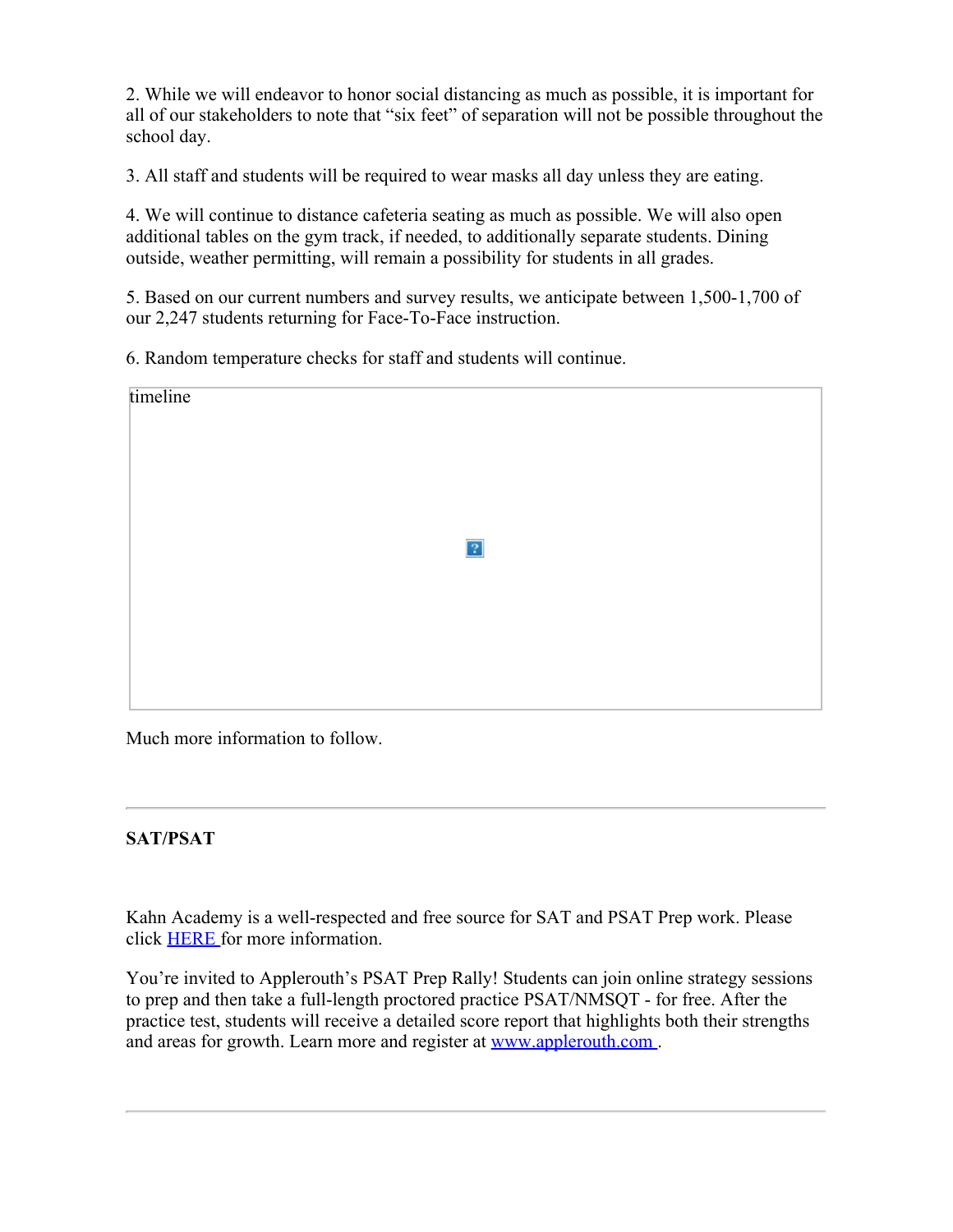2. While we will endeavor to honor social distancing as much as possible, it is important for all of our stakeholders to note that "six feet" of separation will not be possible throughout the school day.

3. All staff and students will be required to wear masks all day unless they are eating.

4. We will continue to distance cafeteria seating as much as possible. We will also open additional tables on the gym track, if needed, to additionally separate students. Dining outside, weather permitting, will remain a possibility for students in all grades.

5. Based on our current numbers and survey results, we anticipate between 1,500-1,700 of our 2,247 students returning for Face-To-Face instruction.

6. Random temperature checks for staff and students will continue.

| timeline |  |           |  |
|----------|--|-----------|--|
|          |  | $\vert$ ? |  |
|          |  |           |  |
|          |  |           |  |

Much more information to follow.

## **SAT/PSAT**

Kahn Academy is a well-respected and free source for SAT and PSAT Prep work. Please click [HERE](https://nam03.safelinks.protection.outlook.com/?url=https%3A%2F%2Fwww.khanacademy.org%2Ftest-prep%2Fsat&data=02%7C01%7Cmurphys%40fultonschools.org%7Ce3ab4fcd238e48fc864708d866d3c014%7C0cdcb19881694b70ba9fda7e3ba700c2%7C1%7C0%7C637372406935788335&sdata=vmzwP6vWyzT772QytEUc9eNu2n9PN7jxPENQaK0qgU4%3D&reserved=0) for more information.

You're invited to Applerouth's PSAT Prep Rally! Students can join online strategy sessions to prep and then take a full-length proctored practice PSAT/NMSQT - for free. After the practice test, students will receive a detailed score report that highlights both their strengths and areas for growth. Learn more and register at [www.applerouth.com](https://nam03.safelinks.protection.outlook.com/?url=http%3A%2F%2Fwww.applerouth.com%2F&data=02%7C01%7Cmurphys%40fultonschools.org%7Ce3ab4fcd238e48fc864708d866d3c014%7C0cdcb19881694b70ba9fda7e3ba700c2%7C1%7C0%7C637372406935788335&sdata=lMu7QuyOW3WlAW%2BRfAeN%2FaKxhrvZyB4Fywnh4zqdTgE%3D&reserved=0).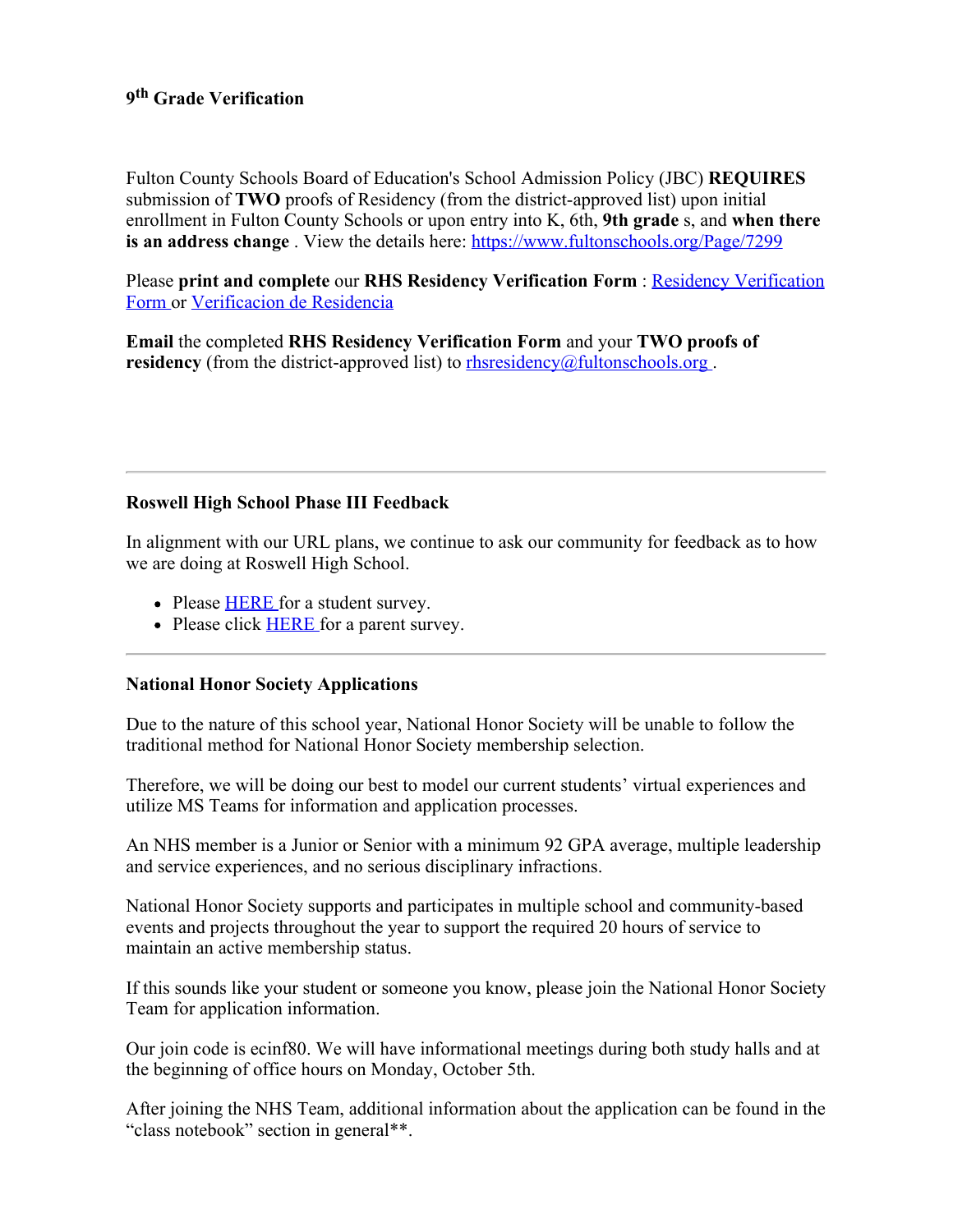## **9th Grade Verification**

Fulton County Schools Board of Education's School Admission Policy (JBC) **REQUIRES** submission of **TWO** proofs of Residency (from the district-approved list) upon initial enrollment in Fulton County Schools or upon entry into K, 6th, **9th grade** s, and **when there is an address change**. View the details here: <https://www.fultonschools.org/Page/7299>

Please **print and complete** our **RHS Residency Verification Form** : Residency [Verification](https://www.fultonschools.org/cms/lib/GA50000114/Centricity/Domain/7450/ResidencyVerification.pdf) [Form](https://www.fultonschools.org/cms/lib/GA50000114/Centricity/Domain/7450/ResidencyVerification.pdf) or [Verificacion](https://www.fultonschools.org/cms/lib/GA50000114/Centricity/Domain/7450/ResidencyVerificationSP.pdf) de Residencia

**Email** the completed **RHS Residency Verification Form** and your **TWO proofs of residency** (from the district-approved list) to rhsresidency  $@$  fultonschools.org.

## **Roswell High School Phase III Feedback**

In alignment with our URL plans, we continue to ask our community for feedback as to how we are doing at Roswell High School.

- Please **[HERE](https://forms.office.com/Pages/ResponsePage.aspx?id=mLHcDGmBcEu6n9p-O6cAwify9XSUym1Hi9A9FhPxy3VURUtFOTdaTTM2V0E0NlpTSURVNEQxSktKTy4u)** for a student survey.
- Please click **[HERE](https://forms.office.com/Pages/ResponsePage.aspx?id=mLHcDGmBcEu6n9p-O6cAwify9XSUym1Hi9A9FhPxy3VUM0g4N0dNWlNDVTNGT1A2MDdIT0o3SlY0RS4u)** for a parent survey.

### **National Honor Society Applications**

Due to the nature of this school year, National Honor Society will be unable to follow the traditional method for National Honor Society membership selection.

Therefore, we will be doing our best to model our current students' virtual experiences and utilize MS Teams for information and application processes.

An NHS member is a Junior or Senior with a minimum 92 GPA average, multiple leadership and service experiences, and no serious disciplinary infractions.

National Honor Society supports and participates in multiple school and community-based events and projects throughout the year to support the required 20 hours of service to maintain an active membership status.

If this sounds like your student or someone you know, please join the National Honor Society Team for application information.

Our join code is ecinf80. We will have informational meetings during both study halls and at the beginning of office hours on Monday, October 5th.

After joining the NHS Team, additional information about the application can be found in the "class notebook" section in general\*\*.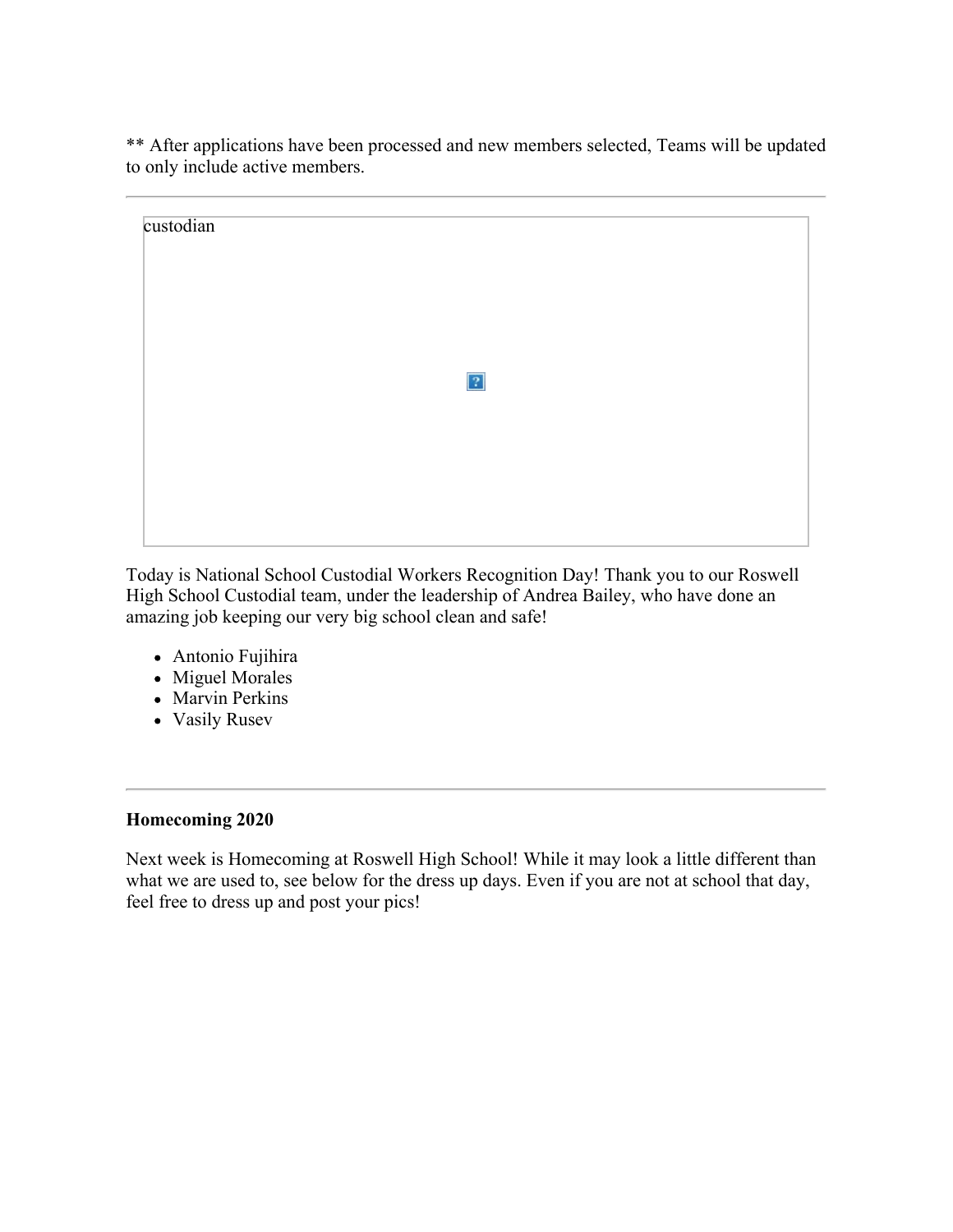\*\* After applications have been processed and new members selected, Teams will be updated to only include active members.

| custodian |             |  |
|-----------|-------------|--|
|           |             |  |
|           |             |  |
|           | $\boxed{?}$ |  |
|           |             |  |
|           |             |  |
|           |             |  |

Today is National School Custodial Workers Recognition Day! Thank you to our Roswell High School Custodial team, under the leadership of Andrea Bailey, who have done an amazing job keeping our very big school clean and safe!

- Antonio Fujihira
- Miguel Morales
- Marvin Perkins
- Vasily Rusev

## **Homecoming 2020**

Next week is Homecoming at Roswell High School! While it may look a little different than what we are used to, see below for the dress up days. Even if you are not at school that day, feel free to dress up and post your pics!